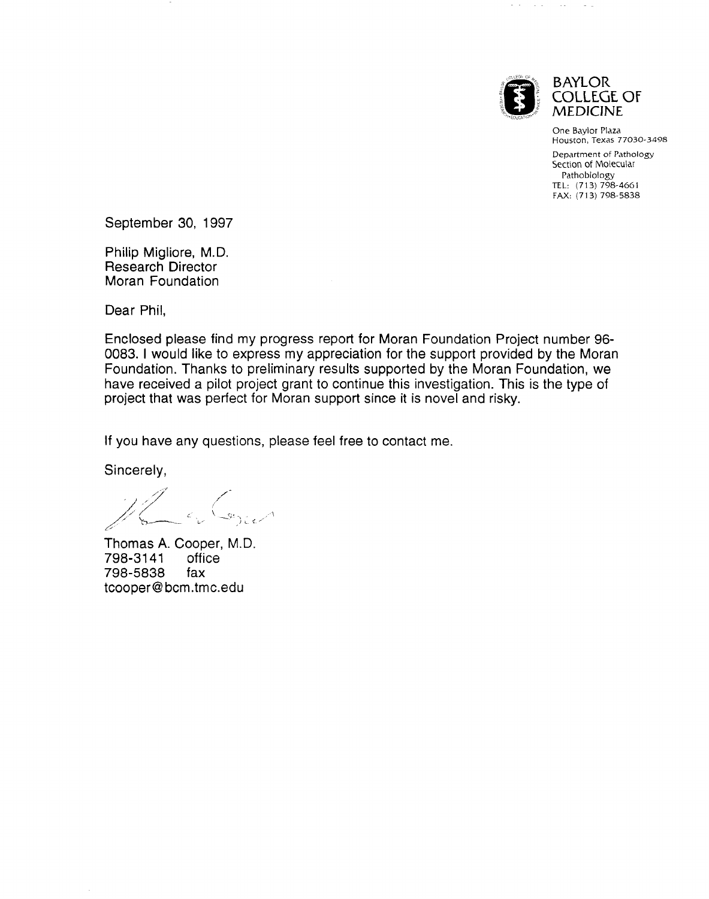

الموارد والمتواردة

**BAYLOR COLLEGE OF** MEDICINE

 $\sim$   $\sim$ 

One Baylor Plaza Houston, Texas 77030-3498 Department of Pathology Section of Molecular Pathobiology TEL: (713) 798-4661 FAX: (713) 798-5838

September 30, 1997

Philip Migliore, M.D. Research Director Moran Foundation

Dear Phil,

Enclosed please find my progress report for Moran Foundation Project number 96- 0083. I would like to express my appreciation for the support provided by the Moran Foundation. Thanks to preliminary results supported by the Moran Foundation, we have received a pilot project grant to continue this investigation. This is the type of project that was perfect for Moran support since it is novel and risky.

If you have any questions, please feel free to contact me.

Sincerely,

Thomas A. Cooper, M.D.<br>798-3141 office 798-3141 798-5838 fax tcooper@bcm.tmc.edu